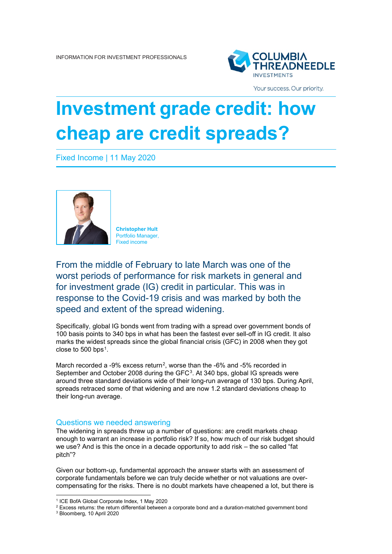

Your success. Our priority.

# **Investment grade credit: how cheap are credit spreads?**

Fixed Income | 11 May 2020



**Christopher Hult** Portfolio Manager, Fixed income

From the middle of February to late March was one of the worst periods of performance for risk markets in general and for investment grade (IG) credit in particular. This was in response to the Covid-19 crisis and was marked by both the speed and extent of the spread widening.

Specifically, global IG bonds went from trading with a spread over government bonds of 100 basis points to 340 bps in what has been the fastest ever sell-off in IG credit. It also marks the widest spreads since the global financial crisis (GFC) in 2008 when they got close to 500 bps[1](#page-0-0).

March recorded a -9% excess return<sup>2</sup>, worse than the -6% and -5% recorded in September and October 2008 during the GFC<sup>[3](#page-0-2)</sup>. At 340 bps, global IG spreads were around three standard deviations wide of their long-run average of 130 bps. During April, spreads retraced some of that widening and are now 1.2 standard deviations cheap to their long-run average.

# Questions we needed answering

The widening in spreads threw up a number of questions: are credit markets cheap enough to warrant an increase in portfolio risk? If so, how much of our risk budget should we use? And is this the once in a decade opportunity to add risk – the so called "fat pitch"?

Given our bottom-up, fundamental approach the answer starts with an assessment of corporate fundamentals before we can truly decide whether or not valuations are overcompensating for the risks. There is no doubt markets have cheapened a lot, but there is

<span id="page-0-0"></span><sup>1</sup> ICE BofA Global Corporate Index, 1 May 2020

<span id="page-0-1"></span><sup>&</sup>lt;sup>2</sup> Excess returns: the return differential between a corporate bond and a duration-matched government bond

<span id="page-0-2"></span><sup>3</sup> Bloomberg, 10 April 2020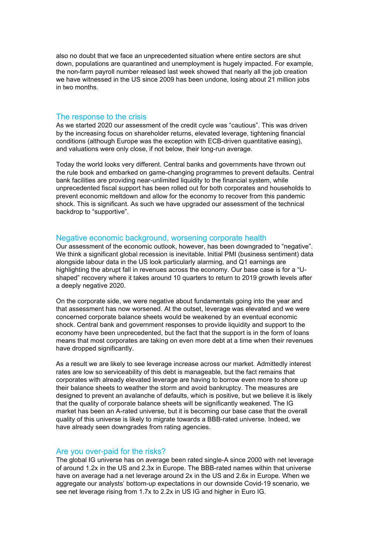also no doubt that we face an unprecedented situation where entire sectors are shut down, populations are quarantined and unemployment is hugely impacted. For example, the non-farm payroll number released last week showed that nearly all the job creation we have witnessed in the US since 2009 has been undone, losing about 21 million jobs in two months.

# The response to the crisis

As we started 2020 our assessment of the credit cycle was "cautious". This was driven by the increasing focus on shareholder returns, elevated leverage, tightening financial conditions (although Europe was the exception with ECB-driven quantitative easing), and valuations were only close, if not below, their long-run average.

Today the world looks very different. Central banks and governments have thrown out the rule book and embarked on game-changing programmes to prevent defaults. Central bank facilities are providing near-unlimited liquidity to the financial system, while unprecedented fiscal support has been rolled out for both corporates and households to prevent economic meltdown and allow for the economy to recover from this pandemic shock. This is significant. As such we have upgraded our assessment of the technical backdrop to "supportive".

# Negative economic background, worsening corporate health

Our assessment of the economic outlook, however, has been downgraded to "negative". We think a significant global recession is inevitable. Initial PMI (business sentiment) data alongside labour data in the US look particularly alarming, and Q1 earnings are highlighting the abrupt fall in revenues across the economy. Our base case is for a "Ushaped" recovery where it takes around 10 quarters to return to 2019 growth levels after a deeply negative 2020.

On the corporate side, we were negative about fundamentals going into the year and that assessment has now worsened. At the outset, leverage was elevated and we were concerned corporate balance sheets would be weakened by an eventual economic shock. Central bank and government responses to provide liquidity and support to the economy have been unprecedented, but the fact that the support is in the form of loans means that most corporates are taking on even more debt at a time when their revenues have dropped significantly.

As a result we are likely to see leverage increase across our market. Admittedly interest rates are low so serviceability of this debt is manageable, but the fact remains that corporates with already elevated leverage are having to borrow even more to shore up their balance sheets to weather the storm and avoid bankruptcy. The measures are designed to prevent an avalanche of defaults, which is positive, but we believe it is likely that the quality of corporate balance sheets will be significantly weakened. The IG market has been an A-rated universe, but it is becoming our base case that the overall quality of this universe is likely to migrate towards a BBB-rated universe. Indeed, we have already seen downgrades from rating agencies.

### Are you over-paid for the risks?

The global IG universe has on average been rated single-A since 2000 with net leverage of around 1.2x in the US and 2.3x in Europe. The BBB-rated names within that universe have on average had a net leverage around 2x in the US and 2.6x in Europe. When we aggregate our analysts' bottom-up expectations in our downside Covid-19 scenario, we see net leverage rising from 1.7x to 2.2x in US IG and higher in Euro IG.